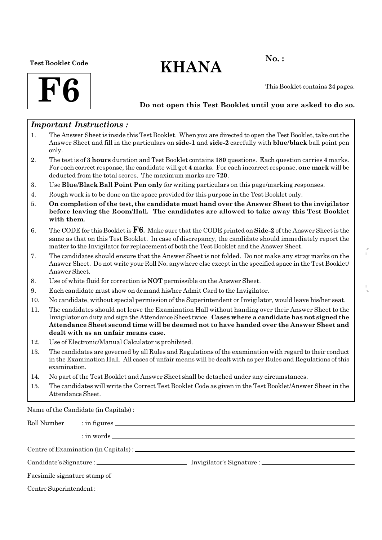#### Test Booklet Code

# $KHANA$  No.:



This Booklet contains 24 pages.

### Do not open this Test Booklet until you are asked to do so.

### Important Instructions :

- 1. The Answer Sheet is inside this Test Booklet. When you are directed to open the Test Booklet, take out the Answer Sheet and fill in the particulars on side-1 and side-2 carefully with blue/black ball point pen only.
- 2. The test is of 3 hours duration and Test Booklet contains 180 questions. Each question carries 4 marks. For each correct response, the candidate will get 4 marks. For each incorrect response, one mark will be deducted from the total scores. The maximum marks are 720.
- 3. Use Blue/Black Ball Point Pen only for writing particulars on this page/marking responses.
- 4. Rough work is to be done on the space provided for this purpose in the Test Booklet only.
- 5. On completion of the test, the candidate must hand over the Answer Sheet to the invigilator before leaving the Room/Hall. The candidates are allowed to take away this Test Booklet with them.
- 6. The CODE for this Booklet is  $\mathbf{F6}$ . Make sure that the CODE printed on Side-2 of the Answer Sheet is the same as that on this Test Booklet. In case of discrepancy, the candidate should immediately report the matter to the Invigilator for replacement of both the Test Booklet and the Answer Sheet.
- 7. The candidates should ensure that the Answer Sheet is not folded. Do not make any stray marks on the Answer Sheet. Do not write your Roll No. anywhere else except in the specified space in the Test Booklet/ Answer Sheet.
- 8. Use of white fluid for correction is NOT permissible on the Answer Sheet.
- 9. Each candidate must show on demand his/her Admit Card to the Invigilator.
- 10. No candidate, without special permission of the Superintendent or Invigilator, would leave his/her seat.
- 11. The candidates should not leave the Examination Hall without handing over their Answer Sheet to the Invigilator on duty and sign the Attendance Sheet twice. Cases where a candidate has not signed the Attendance Sheet second time will be deemed not to have handed over the Answer Sheet and dealt with as an unfair means case.
- 12. Use of Electronic/Manual Calculator is prohibited.
- 13. The candidates are governed by all Rules and Regulations of the examination with regard to their conduct in the Examination Hall. All cases of unfair means will be dealt with as per Rules and Regulations of this examination.
- 14. No part of the Test Booklet and Answer Sheet shall be detached under any circumstances.
- 15. The candidates will write the Correct Test Booklet Code as given in the Test Booklet/Answer Sheet in the Attendance Sheet.

Name of the Candidate (in Capitals) :

| Roll Number                  |  |  |  |
|------------------------------|--|--|--|
|                              |  |  |  |
|                              |  |  |  |
|                              |  |  |  |
| Facsimile signature stamp of |  |  |  |
|                              |  |  |  |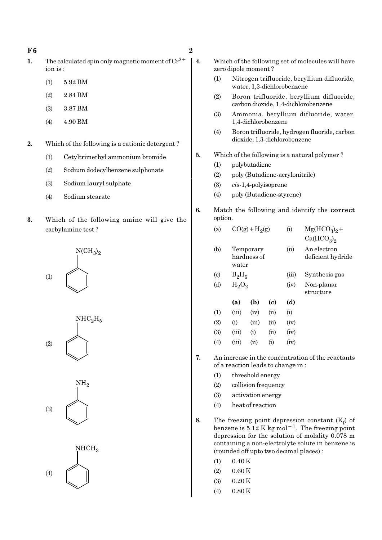#### $F6$  2

- 1. The calculated spin only magnetic moment of  $Cr^{2+}$ ion is :
	- (1) 5.92 BM
	- (2) 2.84 BM
	- (3) 3.87 BM
	- (4) 4.90 BM
- 2. Which of the following is a cationic detergent ?
	- (1) Cetyltrimethyl ammonium bromide
	- (2) Sodium dodecylbenzene sulphonate
	- (3) Sodium lauryl sulphate
	- (4) Sodium stearate
- 3. Which of the following amine will give the carbylamine test ?









- 4. Which of the following set of molecules will have zero dipole moment ?
	- (1) Nitrogen trifluoride, beryllium difluoride, water, 1,3-dichlorobenzene
	- (2) Boron trifluoride, beryllium difluoride, carbon dioxide, 1,4-dichlorobenzene
	- (3) Ammonia, beryllium difluoride, water, 1,4-dichlorobenzene
	- (4) Boron trifluoride, hydrogen fluoride, carbon dioxide, 1,3-dichlorobenzene

#### 5. Which of the following is a natural polymer ?

- (1) polybutadiene
- (2) poly (Butadiene-acrylonitrile)
- (3) cis-1,4-polyisoprene
- (4) poly (Butadiene-styrene)
- 6. Match the following and identify the correct option.

| (a)                         |          | $CO(g) + H2(g)$          |      | (i)   | $Mg(HCO3)2 +$                      |
|-----------------------------|----------|--------------------------|------|-------|------------------------------------|
|                             |          |                          |      |       | Ca(HCO <sub>3</sub> ) <sub>2</sub> |
| (b)                         | water    | Temporary<br>hardness of |      | (ii)  | An electron<br>deficient hydride   |
| $\left( \mathrm{c} \right)$ | $B_2H_6$ |                          |      | (iii) | Synthesis gas                      |
| (d)                         | $H_2O_2$ |                          |      | (iv)  | Non-planar<br>structure            |
|                             | (a)      | (b)                      | (c)  | (d)   |                                    |
| (1)                         | (iii)    | (iv)                     | (ii) | (i)   |                                    |
| (2)                         | (i)      | (iii)                    | (ii) | (iv)  |                                    |

| (1)        | (     | 1 1      | (11) | (1)  |
|------------|-------|----------|------|------|
| (2)        | (i)   | (iii)    | (11) | (iv) |
| <b>(3)</b> | (iii) | $\rm(i)$ | (i)  | (iv) |
| (4)        | (iii) | (i)      | (i)  | (iv) |

- 7. An increase in the concentration of the reactants of a reaction leads to change in :
	- (1) threshold energy
	- (2) collision frequency
	- (3) activation energy
	- (4) heat of reaction
- 8. The freezing point depression constant  $(K_f)$  of benzene is  $5.12$  K kg mol<sup>-1</sup>. The freezing point depression for the solution of molality 0.078 m containing a non-electrolyte solute in benzene is (rounded off upto two decimal places) :
	- $(1)$  0.40 K
	- $(2)$  0.60 K
	- $(3)$  0.20 K
	- (4) 0.80 K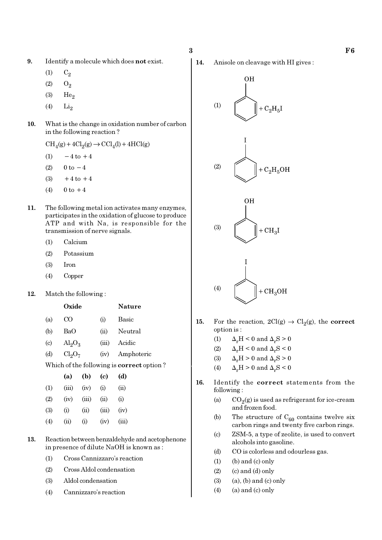- 9. Identify a molecule which does not exist.
	- $(1)$   $C_2$
	- $(2)$   $O_2$
	- $(3)$  He<sub>2</sub>
	- $(4)$  Li<sub>2</sub>
- 10. What is the change in oxidation number of carbon in the following reaction ?
	- $\text{CH}_4(g) + 4\text{Cl}_2(g) \rightarrow \text{CCl}_4(l) + 4\text{HCl}(g)$
	- (1)  $-4$  to  $+4$
	- (2)  $0 \text{ to } -4$
	- (3)  $+4$  to  $+4$
	- (4)  $0 \text{ to } +4$
- 11. The following metal ion activates many enzymes, participates in the oxidation of glucose to produce ATP and with Na, is responsible for the transmission of nerve signals.
	- (1) Calcium
	- (2) Potassium
	- (3) Iron
	- (4) Copper

#### 12. Match the following :

|                           | Oxide                   |       | <b>Nature</b>                        |
|---------------------------|-------------------------|-------|--------------------------------------|
| (a)                       | CO                      | (i)   | Basic                                |
| (b)                       | BaO                     | (ii)  | Neutral                              |
| $\left( \text{c} \right)$ | $\text{Al}_2\text{O}_3$ | (iii) | Acidic                               |
| (d)                       | $Cl_2O_7$               | (iv)  | Amphoteric                           |
|                           |                         |       | Which of the following is correct on |

Which of the following is correct option ?

|     | (a)   | (b)   | (c)   | (d)      |
|-----|-------|-------|-------|----------|
| (1) | (iii) | (iv)  | (i)   | (ii)     |
| (2) | (iv)  | (iii) | (ii)  | $\rm(i)$ |
| (3) | (i)   | (ii)  | (iii) | (iv)     |
| (4) | (ii)  | (i)   | (iv)  | (iii)    |

- 13. Reaction between benzaldehyde and acetophenone in presence of dilute NaOH is known as :
	- (1) Cross Cannizzaro's reaction
	- (2) Cross Aldol condensation
	- (3) Aldol condensation
	- (4) Cannizzaro's reaction

14. Anisole on cleavage with HI gives :



- 15. For the reaction,  $2Cl(g) \rightarrow Cl_2(g)$ , the correct option is :
	- (1)  $\Delta_r H < 0$  and  $\Delta_r S > 0$
	- (2)  $\Delta_r H < 0$  and  $\Delta_r S < 0$
	- (3)  $\Delta_r H > 0$  and  $\Delta_r S > 0$
	- (4)  $\Delta_r H > 0$  and  $\Delta_r S < 0$
- 16. Identify the correct statements from the following :
	- (a)  $CO_2(g)$  is used as refrigerant for ice-cream and frozen food.
	- (b) The structure of  $C_{60}$  contains twelve six carbon rings and twenty five carbon rings.
	- (c) ZSM-5, a type of zeolite, is used to convert alcohols into gasoline.
	- (d) CO is colorless and odourless gas.
	- $(1)$  (b) and  $(c)$  only
	- $(2)$  (c) and (d) only
	- $(3)$   $(a)$ ,  $(b)$  and  $(c)$  only
	- $(4)$  (a) and (c) only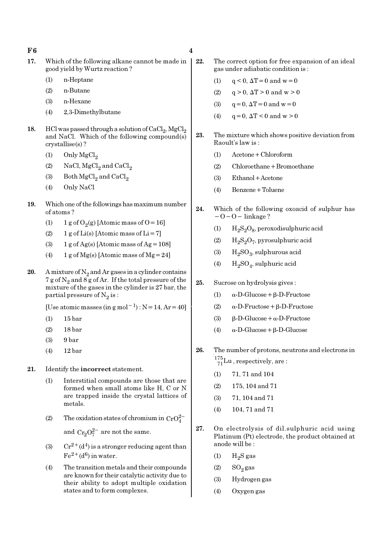$F6$  4

- 17. Which of the following alkane cannot be made in  $\vert$ good yield by Wurtz reaction ?
	- (1) n-Heptane
	- (2) n-Butane
	- (3) n-Hexane
	- (4) 2,3-Dimethylbutane
- 18. HCl was passed through a solution of  $\mathrm{CaCl}_{2}$ ,  $\mathrm{MgCl}_{2}$ and NaCl. Which of the following compound(s) crystallise(s) ?
	- (1) Only  $MgCl<sub>2</sub>$
	- (2) NaCl,  $MgCl<sub>2</sub>$  and  $CaCl<sub>2</sub>$
	- (3) Both  $MgCl<sub>2</sub>$  and  $CaCl<sub>2</sub>$
	- (4) Only NaCl
- 19. Which one of the followings has maximum number of atoms ?
	- (1) 1 g of  $O_2(g)$  [Atomic mass of O = 16]
	- (2) 1 g of  $Li(s)$  [Atomic mass of  $Li = 7$ ]
	- (3) 1 g of Ag(s) [Atomic mass of Ag =  $108$ ]
	- (4) 1 g of Mg(s) [Atomic mass of Mg = 24]
- 20. A mixture of  $N_2$  and Ar gases in a cylinder contains  $7$  g of  $\mathrm{N}_2$  and  $8$  g of Ar. If the total pressure of the mixture of the gases in the cylinder is 27 bar, the partial pressure of  $\mathrm{N}_2 \, \mathrm{is}$  :

[Use atomic masses (in g mol<sup>-1</sup>) : N=14, Ar=40]

- (1) 15 bar
- (2) 18 bar
- (3) 9 bar
- (4) 12 bar
- 21. Identify the incorrect statement.
	- (1) Interstitial compounds are those that are formed when small atoms like H, C or N are trapped inside the crystal lattices of metals.
	- (2) The oxidation states of chromium in  $CrO_4^{2-}$ and  $Cr_2O_7^{2-}$  are not the same.
	- (3) Cr<sup>2+</sup>(d<sup>4</sup>) is a stronger reducing agent than  $Fe^{2+}(d^6)$  in water.
	- (4) The transition metals and their compounds are known for their catalytic activity due to their ability to adopt multiple oxidation states and to form complexes.
- 22. The correct option for free expansion of an ideal gas under adiabatic condition is :
	- (1)  $q < 0$ ,  $\Delta T = 0$  and  $w = 0$
	- (2)  $q > 0$ ,  $\Delta T > 0$  and  $w > 0$
	- (3)  $q = 0$ ,  $\Delta T = 0$  and  $w = 0$
	- (4)  $q = 0$ ,  $\Delta T < 0$  and  $w > 0$
- 23. The mixture which shows positive deviation from Raoult's law is :
	- (1) Acetone+Chloroform
	- (2) Chloroethane+Bromoethane
	- (3) Ethanol+Acetone
	- (4) Benzene+Toluene
- 24. Which of the following oxoacid of sulphur has −O−O− linkage ?
	- (1)  $H_2S_2O_8$ , peroxodisulphuric acid
	- (2)  $H_2S_2O_7$ , pyrosulphuric acid
	- (3)  $H_2SO_3$ , sulphurous acid
	- (4)  $H_2SO_4$ , sulphuric acid
- 25. Sucrose on hydrolysis gives :
	- (1) α-D-Glucose+β-D-Fructose
	- (2) α-D-Fructose+β-D-Fructose
	- (3)  $β-D-Glucose + α-D-Fructose$
	- (4) α-D-Glucose+β-D-Glucose
- 26. The number of protons, neutrons and electrons in  $^{175}_{71}$ Lu, respectively, are:
	- (1) 71, 71 and 104
	- (2) 175, 104 and 71
	- (3) 71, 104 and 71
	- (4) 104, 71 and 71
- 27. On electrolysis of dil.sulphuric acid using Platinum (Pt) electrode, the product obtained at anode will be :
	- $(1)$  H<sub>2</sub>S gas
	- $(2)$  SO<sub>2</sub> gas
	- (3) Hydrogen gas
	- (4) Oxygen gas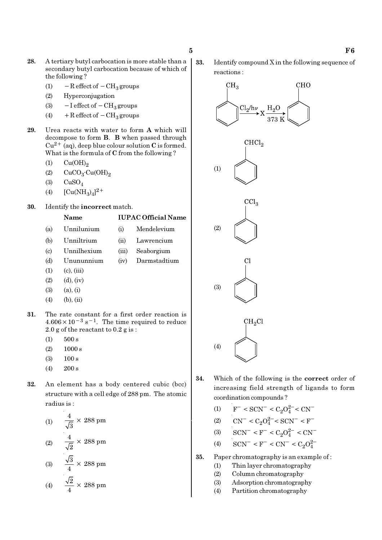- 28. A tertiary butyl carbocation is more stable than a secondary butyl carbocation because of which of the following ?
	- (1)  $-$  R effect of  $-$  CH<sub>3</sub> groups
	- (2) Hyperconjugation
	- (3)  $-I$  effect of  $-CH_3$  groups
	- (4) + R effect of  $-CH_3$  groups
- 29. Urea reacts with water to form A which will decompose to form B. B when passed through  $Cu^{2+}$  (aq), deep blue colour solution C is formed. What is the formula of C from the following ?
	- $(1)$   $Cu(OH)<sub>2</sub>$
	- (2)  $CuCO<sub>3</sub>·Cu(OH)<sub>2</sub>$
	- $(3)$   $CuSO<sub>4</sub>$
	- (4)  $[Cu(NH_3)_4]^{2+}$

Name

30. Identify the incorrect match.

- (a) Unnilunium (i) Mendelevium (b) Unniltrium (ii) Lawrencium (c) Unnilhexium (iii) Seaborgium (d) Unununnium (iv) Darmstadtium  $(1)$   $(c)$ ,  $(iii)$  $(2)$   $(d), (iv)$
- $(3)$   $(a), (i)$
- $(4)$  (b), (ii)
- 31. The rate constant for a first order reaction is  $4.606 \times 10^{-3}$  s<sup>-1</sup>. The time required to reduce 2.0 g of the reactant to 0.2 g is :
	- $(1)$  500 s
	- $(2)$  1000 s
	- (3) 100 s
	- (4) 200 s
- 32. An element has a body centered cubic (bcc) structure with a cell edge of 288 pm. The atomic radius is :

(1) 
$$
\frac{4}{\sqrt{3}} \times 288 \text{ pm}
$$
  
\n(2) 
$$
\frac{4}{\sqrt{2}} \times 288 \text{ pm}
$$
  
\n(3) 
$$
\frac{\sqrt{3}}{4} \times 288 \text{ pm}
$$
  
\n(4) 
$$
\frac{\sqrt{2}}{4} \times 288 \text{ pm}
$$

33. Identify compound X in the following sequence of reactions :



- 34. Which of the following is the correct order of increasing field strength of ligands to form coordination compounds ?
	- (1)  $F^- < \text{SCN}^- < C_2 O_4^{2-} < \text{CN}^-$
	- (2)  $\text{CN}^- < C_2 O_4^{2-} < \text{SCN}^- < \text{F}^-$
	- (3)  $\text{SCN}^-$  < F<sup>-</sup> < C<sub>2</sub>O<sub>4</sub><sup>2-</sup> < CN<sup>-</sup>
	- (4)  $\text{SCN}^-$  <  $\text{F}^-$  <  $\text{CN}^-$  <  $\text{C}_2\text{O}_4^{2-}$
- 35. Paper chromatography is an example of :
	- (1) Thin layer chromatography
	- (2) Column chromatography
	- (3) Adsorption chromatography
	- (4) Partition chromatography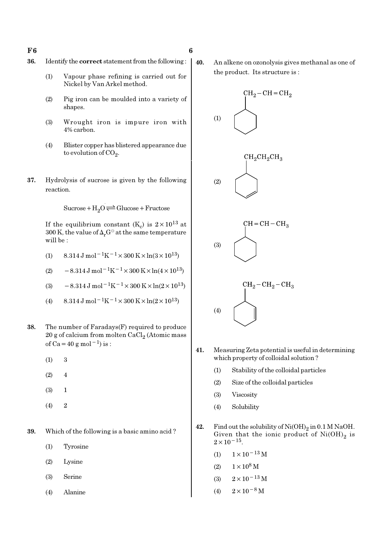- 36. Identify the correct statement from the following :
	- (1) Vapour phase refining is carried out for Nickel by Van Arkel method.
	- (2) Pig iron can be moulded into a variety of shapes.
	- (3) Wrought iron is impure iron with 4% carbon.
	- (4) Blister copper has blistered appearance due to evolution of CO<sub>2</sub>.
- 37. Hydrolysis of sucrose is given by the following reaction.

 $Sucrose+H_2O \rightleftharpoons Glucose+Fructose$ 

If the equilibrium constant (K<sub>c</sub>) is  $2 \times 10^{13}$  at 300 K, the value of  $\Delta_r G^\ominus$  at the same temperature will be :

- (1)  $8.314 \text{ J mol}^{-1}\text{K}^{-1} \times 300 \text{ K} \times \ln(3 \times 10^{13})$
- (2)  $-8.314 \,\mathrm{J} \,\mathrm{mol}^{-1} \mathrm{K}^{-1} \times 300 \,\mathrm{K} \times \ln(4 \times 10^{13})$
- (3)  $-8.314 \,\mathrm{J} \,\mathrm{mol}^{-1} \mathrm{K}^{-1} \times 300 \,\mathrm{K} \times \ln(2 \times 10^{13})$
- (4)  $8.314 \text{ J mol}^{-1}\text{K}^{-1} \times 300 \text{ K} \times \ln(2 \times 10^{13})$
- 38. The number of Faradays(F) required to produce  $20$  g of calcium from molten CaCl $_2$  (Atomic mass of Ca=40 g mol<sup>-1</sup>) is :
	- (1) 3
	- $(2)$  4
	- (3) 1
	- $(4)$  2
- 39. Which of the following is a basic amino acid ?
	- (1) Tyrosine
	- (2) Lysine
	- (3) Serine
	- (4) Alanine

40. An alkene on ozonolysis gives methanal as one of the product. Its structure is :



- 41. Measuring Zeta potential is useful in determining which property of colloidal solution ?
	- (1) Stability of the colloidal particles
	- (2) Size of the colloidal particles
	- (3) Viscosity
	- (4) Solubility
- 42. Find out the solubility of  $\mathrm{Ni(OH)}_{2}$  in 0.1 M NaOH. Given that the ionic product of  $\mathrm{Ni(OH)}_{2}$  is  $2 \times 10^{-15}$ .
	- (1)  $1 \times 10^{-13}$  M
	- (2)  $1 \times 10^8$  M
	- (3)  $2 \times 10^{-13}$  M
	- (4)  $2 \times 10^{-8}$  M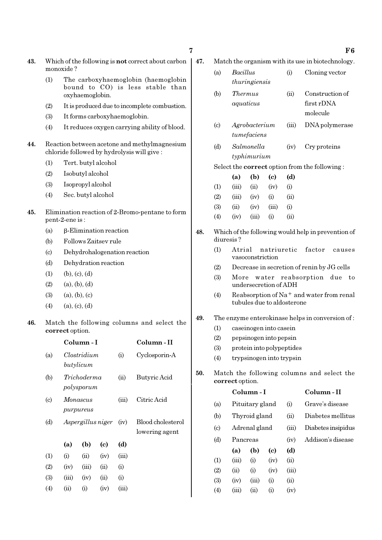- 43. Which of the following is not correct about carbon monoxide ?
	- (1) The carboxyhaemoglobin (haemoglobin bound to CO) is less stable than oxyhaemoglobin.
	- (2) It is produced due to incomplete combustion.
	- (3) It forms carboxyhaemoglobin.
	- (4) It reduces oxygen carrying ability of blood.
- 44. Reaction between acetone and methylmagnesium chloride followed by hydrolysis will give :
	- (1) Tert. butyl alcohol
	- (2) Isobutyl alcohol
	- (3) Isopropyl alcohol
	- (4) Sec. butyl alcohol
- 45. Elimination reaction of 2-Bromo-pentane to form pent-2-ene is :
	- (a) β-Elimination reaction
	- (b) Follows Zaitsev rule
	- (c) Dehydrohalogenation reaction
	- (d) Dehydration reaction
	- $(1)$   $(b), (c), (d)$
	- $(2)$   $(a), (b), (d)$
	- $(3)$   $(a), (b), (c)$
	- $(4)$  (a), (c), (d)
- 46. Match the following columns and select the correct option.

|                            | Column - I |                           |      |       | Column - II                         |  |  |
|----------------------------|------------|---------------------------|------|-------|-------------------------------------|--|--|
| (a)                        |            | Clostridium<br>butylicum  |      | (i)   | Cyclosporin-A                       |  |  |
| (b)                        |            | Trichoderma<br>polysporum |      | (ii)  | Butyric Acid                        |  |  |
| $\left( \mathrm{c}\right)$ |            | Monascus<br>purpureus     |      | (iii) | Citric Acid                         |  |  |
| (d)                        |            | Aspergillus niger         |      |       | Blood cholesterol<br>lowering agent |  |  |
|                            | (a)        | (b)                       | (c)  | (d)   |                                     |  |  |
| (1)                        | (i)        | (ii)                      | (iv) | (iii) |                                     |  |  |
| (2)                        | (iv)       | (iii)                     | (ii) | (i)   |                                     |  |  |
| (3)                        | (iii)      | (iv)                      | (ii) | (i)   |                                     |  |  |
| (4)                        | (ii)       | $\rm(i)$                  | (iv) | (iii) |                                     |  |  |

- 47. Match the organism with its use in biotechnology.
	- (a) Bacillus (i) Cloning vector thuringiensis (b) Thermus (ii) Construction of aquaticus first rDNA molecule
	- (c) Agrobacterium (iii) DNA polymerase tumefaciens
	- (d) Salmonella (iv) Cry proteins typhimurium

Select the correct option from the following :

- (a) (b) (c) (d)  $(1)$   $(iii)$   $(ii)$   $(iv)$   $(i)$ (2) (iii) (iv) (i) (ii) (3) (ii) (iv) (iii) (i)  $(4)$   $(iv)$   $(iii)$   $(i)$   $(ii)$
- 48. Which of the following would help in prevention of diuresis ?
	- (1) Atrial natriuretic factor causes vasoconstriction
	- (2) Decrease in secretion of renin by JG cells
	- (3) More water reabsorption due to undersecretion of ADH
	- (4) Reabsorption of Na<sup>+</sup> and water from renal tubules due to aldosterone
- 49. The enzyme enterokinase helps in conversion of :
	- (1) caseinogen into casein
	- (2) pepsinogen into pepsin
	- (3) protein into polypeptides
	- (4) trypsinogen into trypsin
- 50. Match the following columns and select the correct option.

|                            |                 | Column - I |          | Column - II |                    |
|----------------------------|-----------------|------------|----------|-------------|--------------------|
| (a)                        | Pituitary gland |            |          | (i)         | Grave's disease    |
| (b)                        | Thyroid gland   |            |          | (ii)        | Diabetes mellitus  |
| $\left( \mathrm{c}\right)$ | Adrenal gland   |            |          | (iii)       | Diabetes insipidus |
| (d)                        | Pancreas        |            |          | (iv)        | Addison's disease  |
|                            | (a)             | (b)        | (c)      | (d)         |                    |
| (1)                        | (iii)           | (i)        | (iv)     | (ii)        |                    |
| (2)                        | (ii)            | (i)        | (iv)     | (iii)       |                    |
| (3)                        | (iv)            | (iii)      | (i)      | (ii)        |                    |
| $\left( 4\right)$          | (iii)           | (ii)       | $\rm(i)$ | (iv)        |                    |

 $7 \t\t\t F6$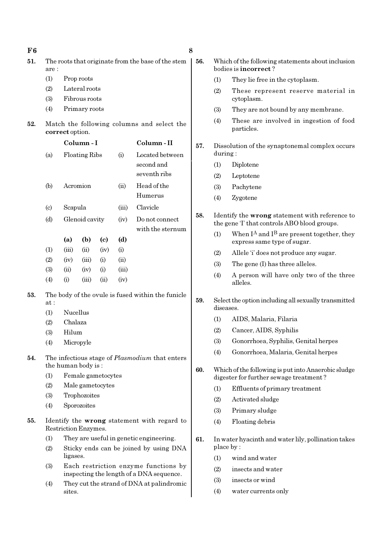| F6  | 8                                                             |                                                    |                      |                                           |               |                                                                                              |     |                                                                   |                                                                                |
|-----|---------------------------------------------------------------|----------------------------------------------------|----------------------|-------------------------------------------|---------------|----------------------------------------------------------------------------------------------|-----|-------------------------------------------------------------------|--------------------------------------------------------------------------------|
| 51. | are:                                                          | The roots that originate from the base of the stem |                      |                                           |               |                                                                                              |     |                                                                   | Which of the following statements about inclusion<br>bodies is incorrect?      |
|     | (1)                                                           |                                                    | Prop roots           |                                           |               |                                                                                              |     | (1)                                                               | They lie free in the cytoplasm.                                                |
|     | (2)                                                           |                                                    | Lateral roots        |                                           |               |                                                                                              |     |                                                                   | These represent reserve material in                                            |
|     | (3)                                                           |                                                    | Fibrous roots        |                                           |               |                                                                                              |     |                                                                   | cytoplasm.                                                                     |
|     | (4)                                                           |                                                    | Primary roots        |                                           |               |                                                                                              |     | (3)                                                               | They are not bound by any membrane.                                            |
| 52. | Match the following columns and select the<br>correct option. |                                                    |                      |                                           |               |                                                                                              |     | (4)                                                               | These are involved in ingestion of food<br>particles.                          |
|     |                                                               |                                                    | Column-I             |                                           |               | Column-II                                                                                    | 57. |                                                                   | Dissolution of the synaptonemal complex occurs                                 |
|     | (a)                                                           |                                                    | Floating Ribs        |                                           | (i)           | Located between                                                                              |     | during:                                                           |                                                                                |
|     |                                                               |                                                    |                      |                                           |               | second and                                                                                   |     | (1)                                                               | Diplotene                                                                      |
|     |                                                               |                                                    |                      |                                           |               | seventh ribs                                                                                 |     | (2)                                                               | Leptotene                                                                      |
|     | (b)                                                           |                                                    | Acromion             |                                           | (ii)          | Head of the                                                                                  |     | (3)                                                               | Pachytene                                                                      |
|     |                                                               |                                                    |                      |                                           |               | Humerus                                                                                      |     | (4)                                                               | Zygotene                                                                       |
|     | $\left( \mathrm{c}\right)$                                    | Scapula                                            |                      |                                           | (iii)         | Clavicle                                                                                     |     |                                                                   |                                                                                |
|     | (d)                                                           | Glenoid cavity<br>(iv)                             |                      | 58.<br>Do not connect<br>with the sternum |               | Identify the wrong statement with reference to<br>the gene T that controls ABO blood groups. |     |                                                                   |                                                                                |
|     |                                                               | (a)                                                | (b)                  | $\left( \mathbf{c} \right)$               | (d)           |                                                                                              |     | (1)                                                               | When $I^A$ and $I^B$ are present together, they<br>express same type of sugar. |
|     | (1)                                                           | (iii)                                              | (ii)                 | (iv)                                      | (i)           |                                                                                              |     | (2)                                                               | Allele 'i' does not produce any sugar.                                         |
|     | (2)                                                           | (iv)                                               | (iii)                | (i)                                       | (ii)          |                                                                                              |     | (3)                                                               | The gene (I) has three alleles.                                                |
|     | (3)<br>(4)                                                    | (ii)<br>(i)                                        | (iv)<br>(iii)        | (i)<br>(ii)                               | (iii)<br>(iv) |                                                                                              |     | (4)                                                               | A person will have only two of the three<br>alleles.                           |
| 53. | at:                                                           |                                                    |                      |                                           |               | The body of the ovule is fused within the funicle                                            | 59. | Select the option including all sexually transmitted<br>diseases. |                                                                                |
|     | (1)                                                           | Nucellus                                           |                      |                                           |               |                                                                                              |     | (1)                                                               | AIDS, Malaria, Filaria                                                         |
|     | (2)                                                           | Chalaza                                            |                      |                                           |               |                                                                                              |     | (2)                                                               | Cancer, AIDS, Syphilis                                                         |
|     | (3)                                                           | Hilum                                              |                      |                                           |               |                                                                                              |     | (3)                                                               | Gonorrhoea, Syphilis, Genital herpes                                           |
|     | (4)                                                           |                                                    | Micropyle            |                                           |               |                                                                                              |     | (4)                                                               | Gonorrhoea, Malaria, Genital herpes                                            |
| 54. |                                                               |                                                    | the human body is:   |                                           |               | The infectious stage of <i>Plasmodium</i> that enters                                        | 60. |                                                                   | Which of the following is put into Anaerobic sludge                            |
|     | (1)                                                           |                                                    | Female gametocytes   |                                           |               |                                                                                              |     |                                                                   | digester for further sewage treatment?                                         |
|     | (2)                                                           |                                                    | Male gametocytes     |                                           |               |                                                                                              |     | (1)                                                               | Effluents of primary treatment                                                 |
|     | (3)                                                           |                                                    | Trophozoites         |                                           |               |                                                                                              |     | (2)                                                               | Activated sludge                                                               |
|     | (4)                                                           |                                                    | Sporozoites          |                                           |               |                                                                                              |     | (3)                                                               | Primary sludge                                                                 |
| 55. |                                                               |                                                    |                      |                                           |               | Identify the wrong statement with regard to                                                  |     | (4)                                                               | Floating debris                                                                |
|     |                                                               |                                                    | Restriction Enzymes. |                                           |               |                                                                                              |     |                                                                   |                                                                                |
|     | (1)                                                           |                                                    |                      |                                           |               | They are useful in genetic engineering.                                                      | 61. |                                                                   | In water hyacinth and water lily, pollination takes                            |
|     | (2)                                                           | ligases.                                           |                      |                                           |               | Sticky ends can be joined by using DNA                                                       |     | (1)                                                               | place by:<br>wind and water                                                    |
|     | (3)                                                           |                                                    |                      |                                           |               | Each restriction enzyme functions by                                                         |     | (2)                                                               | insects and water                                                              |
|     |                                                               |                                                    |                      |                                           |               | inspecting the length of a DNA sequence.                                                     |     | (3)                                                               | insects or wind                                                                |
|     | (4)                                                           | sites.                                             |                      |                                           |               | They cut the strand of DNA at palindromic                                                    |     | (4)                                                               | water currents only                                                            |
|     |                                                               |                                                    |                      |                                           |               |                                                                                              |     |                                                                   |                                                                                |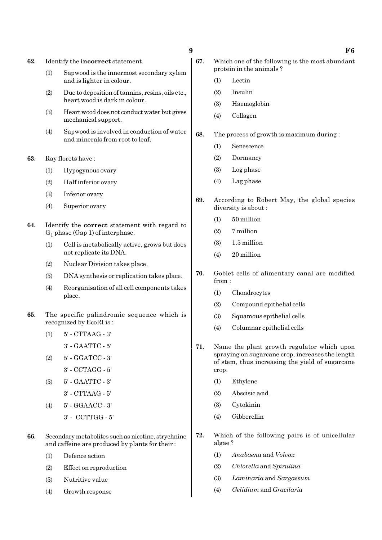62. Identify the incorrect statement.

- (1) Sapwood is the innermost secondary xylem and is lighter in colour.
- (2) Due to deposition of tannins, resins, oils etc., heart wood is dark in colour.
- (3) Heart wood does not conduct water but gives mechanical support.
- (4) Sapwood is involved in conduction of water and minerals from root to leaf.
- 63. Ray florets have :
	- (1) Hypogynous ovary
	- (2) Half inferior ovary
	- (3) Inferior ovary
	- (4) Superior ovary
- 64. Identify the correct statement with regard to  $G_1$  phase (Gap 1) of interphase.
	- (1) Cell is metabolically active, grows but does not replicate its DNA.
	- (2) Nuclear Division takes place.
	- (3) DNA synthesis or replication takes place.
	- (4) Reorganisation of all cell components takes place.
- 65. The specific palindromic sequence which is recognized by EcoRI is :
	- (1) 5' CTTAAG 3'
		- 3' GAATTC 5'
	- (2) 5' GGATCC 3'
	- 3' CCTAGG 5'
	- (3) 5' GAATTC 3'
		- 3' CTTAAG 5'
	- (4) 5' GGAACC 3'
		- 3' CCTTGG 5'
- 66. Secondary metabolites such as nicotine, strychnine and caffeine are produced by plants for their :
	- (1) Defence action
	- (2) Effect on reproduction
	- (3) Nutritive value
	- (4) Growth response
- 67. Which one of the following is the most abundant protein in the animals ?
	- (1) Lectin
	- (2) Insulin
	- (3) Haemoglobin
	- (4) Collagen
- 68. The process of growth is maximum during :
	- (1) Senescence
	- (2) Dormancy
	- (3) Log phase
	- (4) Lag phase
- 69. According to Robert May, the global species diversity is about :
	- (1) 50 million
	- (2) 7 million
	- (3) 1.5 million
	- (4) 20 million
- 70. Goblet cells of alimentary canal are modified from :
	- (1) Chondrocytes
	- (2) Compound epithelial cells
	- (3) Squamous epithelial cells
	- (4) Columnar epithelial cells
- 71. Name the plant growth regulator which upon spraying on sugarcane crop, increases the length of stem, thus increasing the yield of sugarcane crop.
	- (1) Ethylene
	- (2) Abscisic acid
	- (3) Cytokinin
	- (4) Gibberellin
- 72. Which of the following pairs is of unicellular algae ?
	- (1) Anabaena and Volvox
	- (2) Chlorella and Spirulina
	- (3) Laminaria and Sargassum
	- (4) Gelidium and Gracilaria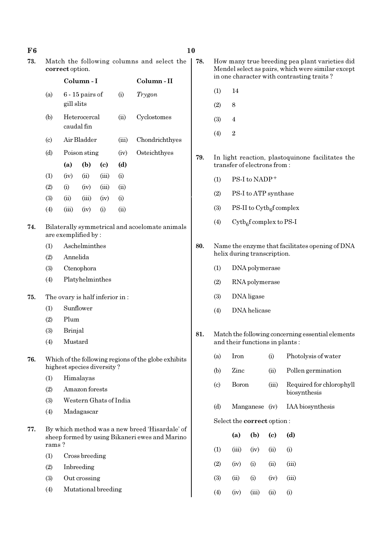- 
- 73. Match the following columns and select the | 78. correct option.

|                             |            | Column - I                 |       | Column - II |                |
|-----------------------------|------------|----------------------------|-------|-------------|----------------|
| (a)                         | gill slits | $6 - 15$ pairs of          |       | (i)         | Trygon         |
| (b)                         |            | Heterocercal<br>caudal fin |       | (ii)        | Cyclostomes    |
| $\left( \mathrm{c} \right)$ |            | Air Bladder                |       | (iii)       | Chondrichthyes |
| (d)                         |            | Poison sting               |       | (iv)        | Osteichthyes   |
|                             | (a)        | (b)                        | (c)   | (d)         |                |
| (1)                         | (iv)       | (ii)                       | (iii) | (i)         |                |
| (2)                         | (i)        | (iv)                       | (iii) | (ii)        |                |
| (3)                         | (ii)       | (iii)                      | (iv)  | (i)         |                |
| (4)                         | (iii)      | (iv)                       | (i)   | (ii)        |                |

- 74. Bilaterally symmetrical and acoelomate animals are exemplified by :
	- (1) Aschelminthes
	- (2) Annelida
	- (3) Ctenophora
	- (4) Platyhelminthes
- 75. The ovary is half inferior in :
	- (1) Sunflower
	- (2) Plum
	- (3) Brinjal
	- (4) Mustard
- 76. Which of the following regions of the globe exhibits highest species diversity ?
	- (1) Himalayas
	- (2) Amazon forests
	- (3) Western Ghats of India
	- (4) Madagascar
- 77. By which method was a new breed 'Hisardale' of sheep formed by using Bikaneri ewes and Marino rams ?
	- (1) Cross breeding
	- (2) Inbreeding
	- (3) Out crossing
	- (4) Mutational breeding
- 78. How many true breeding pea plant varieties did Mendel select as pairs, which were similar except in one character with contrasting traits ?
- $(1)$  14
- $(2)$  8
- (3) 4
- $(4)$  2

79. In light reaction, plastoquinone facilitates the transfer of electrons from :

- $(1)$  PS-I to NADP<sup>+</sup>
- (2) PS-I to ATP synthase
- (3) PS-II to  $\text{Cytb}_6\text{f}$  complex
- (4) Cytb<sub>6</sub>f complex to PS-I
- 80. Name the enzyme that facilitates opening of DNA helix during transcription.
	- (1) DNA polymerase
	- (2) RNA polymerase
	- (3) DNA ligase
	- (4) DNA helicase
- 81. Match the following concerning essential elements and their functions in plants :

| (a)                               | <b>Iron</b>    |      | (i)                       | Photolysis of water                      |  |  |
|-----------------------------------|----------------|------|---------------------------|------------------------------------------|--|--|
| (b)                               | Zinc           |      | (ii)                      | Pollen germination                       |  |  |
| $\left( \text{c} \right)$         | Boron          |      | (iii)                     | Required for chlorophyll<br>biosynthesis |  |  |
| (d)                               | Manganese (iv) |      |                           | IAA biosynthesis                         |  |  |
| Select the <b>correct</b> option: |                |      |                           |                                          |  |  |
|                                   | (a)            | (b)  | $\left( \text{c} \right)$ | (d)                                      |  |  |
| (1)                               | (iii)          | (iv) | (ii)                      | (i)                                      |  |  |
| (2)                               | (iv)           | (i)  | (ii)                      | (iii)                                    |  |  |

- (3) (ii) (i) (iv) (iii)
- $(4)$   $(iv)$   $(iii)$   $(ii)$   $(i)$

#### $F6$  10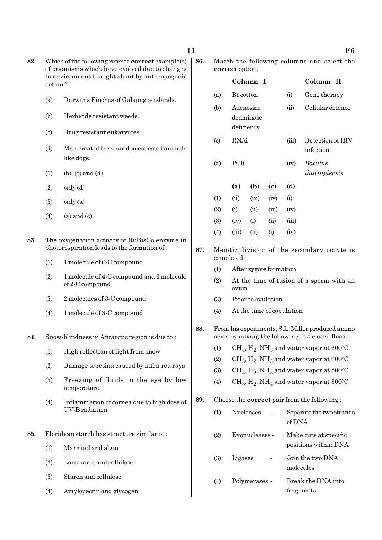- 82. Which of the following refer to correct example(s) of organisms which have evolved due to changes in environment brought about by anthropogenic action ?
	- (a) Darwin's Finches of Galapagos islands.
	- (b) Herbicide resistant weeds.
	- (c) Drug resistant eukaryotes.
	- (d) Man-created breeds of domesticated animals like dogs.
	- (1) (b), (c) and (d)
	- $(2)$  only  $(d)$
	- $(3)$  only  $(a)$
	- $(4)$  (a) and (c)
- 83. The oxygenation activity of RuBisCo enzyme in photorespiration leads to the formation of :
	- (1) 1 molecule of 6-C compound
	- (2) 1 molecule of 4-C compound and 1 molecule of 2-C compound
	- (3) 2 molecules of 3-C compound
	- (4) 1 molecule of 3-C compound
- 84. Snow-blindness in Antarctic region is due to :
	- (1) High reflection of light from snow
	- (2) Damage to retina caused by infra-red rays
	- (3) Freezing of fluids in the eye by low temperature
	- (4) Inflammation of cornea due to high dose of UV-B radiation
- 85. Floridean starch has structure similar to :
	- (1) Mannitol and algin
	- (2) Laminarin and cellulose
	- (3) Starch and cellulose
	- (4) Amylopectin and glycogen

86. Match the following columns and select the correct option.

|                            |                  | Column - I                           |       | Column-II |                                  |
|----------------------------|------------------|--------------------------------------|-------|-----------|----------------------------------|
| (a)                        | <b>Bt</b> cotton |                                      |       | (i)       | Gene therapy                     |
| (b)                        |                  | Adenosine<br>deaminase<br>deficiency |       | (ii)      | Cellular defence                 |
| $\left( \mathrm{c}\right)$ | RNAi             |                                      |       | (iii)     | Detection of HIV<br>infection    |
| (d)                        | <b>PCR</b>       |                                      |       | (iv)      | <i>Bacillus</i><br>thuringiensis |
|                            | (a)              | (b)                                  | (c)   | (d)       |                                  |
| (1)                        | (ii)             | (iii)                                | (iv)  | (i)       |                                  |
| (2)                        | (i)              | (ii)                                 | (iii) | (iv)      |                                  |
| (3)                        | (iv)             | (i)                                  | (ii)  | (iii)     |                                  |
| $\left( 4\right)$          | (iii)            | (ii)                                 | (i)   | (iv)      |                                  |

87. Meiotic division of the secondary oocyte is completed :

- (1) After zygote formation
- (2) At the time of fusion of a sperm with an ovum
- (3) Prior to ovulation
- (4) At the time of copulation

#### 88. From his experiments, S.L. Miller produced amino acids by mixing the following in a closed flask :

- (1)  $\mathrm{CH}_4, \mathrm{H}_2, \mathrm{NH}_3$  and water vapor at 600°C
- (2)  $\rm CH_3, H_2, NH_3$  and water vapor at 600°C
- (3)  $\mathrm{CH}_4, \mathrm{H}_2, \mathrm{NH}_3$  and water vapor at 800°C
- (4)  $\rm CH_3, H_2, NH_4$  and water vapor at 800°C

#### 89. Choose the correct pair from the following :

| (1)        | <b>Nucleases</b> | Separate the two strands<br>of DNA            |
|------------|------------------|-----------------------------------------------|
| (2)        | Exonucleases -   | Make cuts at specific<br>positions within DNA |
| <b>(3)</b> | Ligases          | Join the two DNA<br>molecules                 |
| (4)        | Polymerases -    | Break the DNA into<br>fragments               |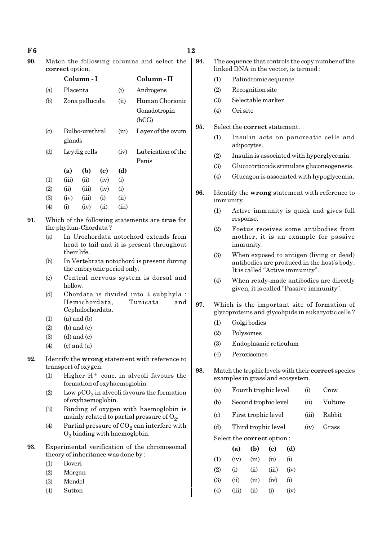$F6$  and  $12$ 

| 90. | Match the following columns and select the   9 |  |
|-----|------------------------------------------------|--|
|     | correct option.                                |  |

|                            |           | Column - I               |                            | Column - II |                    |  |
|----------------------------|-----------|--------------------------|----------------------------|-------------|--------------------|--|
| (a)                        | Placenta  |                          |                            | (i)         | Androgens          |  |
| (b)                        |           | Zona pellucida           |                            |             | Human Chorionic    |  |
|                            |           |                          |                            |             | Gonadotropin       |  |
|                            |           |                          |                            |             | (hCG)              |  |
| $\left( \mathrm{c}\right)$ |           | Bulbo-urethral<br>glands |                            |             | Layer of the ovum  |  |
| (d)                        |           | Leydig cells             |                            |             | Lubrication of the |  |
|                            |           |                          |                            |             | Penis              |  |
|                            | (a)       | (b)                      | $\left( \mathrm{e}\right)$ | (d)         |                    |  |
| (1)                        | (iii)     | (ii)                     | (iv)                       | (i)         |                    |  |
| (2)                        | (ii)      | (iii)                    | (iv)                       | (i)         |                    |  |
| (3)                        | (iv)      | (iii)                    | (i)                        | (ii)        |                    |  |
| $\left( 4\right)$          | $\rm (i)$ | (iv)                     | (ii)                       | (iii)       |                    |  |

- 91. Which of the following statements are true for the phylum-Chordata ?
	- (a) In Urochordata notochord extends from head to tail and it is present throughout their life.
	- (b) In Vertebrata notochord is present during the embryonic period only.
	- (c) Central nervous system is dorsal and hollow.
	- (d) Chordata is divided into 3 subphyla : Hemichordata, Tunicata and Cephalochordata.
	- $(1)$   $(a)$  and  $(b)$
	- $(2)$  (b) and  $(c)$
	- $(3)$   $(d)$  and  $(c)$
	- $(4)$   $(c)$  and  $(a)$
- 92. Identify the wrong statement with reference to transport of oxygen.
	- (1) Higher  $H^+$  conc. in alveoli favours the formation of oxyhaemoglobin.
	- (2) Low  $pCO_2$  in alveoli favours the formation of oxyhaemoglobin.
	- (3) Binding of oxygen with haemoglobin is mainly related to partial pressure of  $\mathrm{O}_2$ .
	- (4) Partial pressure of  $CO_2$  can interfere with  $O_2$  binding with haemoglobin.
- 93. Experimental verification of the chromosomal theory of inheritance was done by :
	- (1) Boveri
	- (2) Morgan
	- (3) Mendel
	- (4) Sutton

94. The sequence that controls the copy number of the linked DNA in the vector, is termed :

- (1) Palindromic sequence
- (2) Recognition site
- (3) Selectable marker
- (4) Ori site
- 95. Select the correct statement.
	- (1) Insulin acts on pancreatic cells and adipocytes.
	- (2) Insulin is associated with hyperglycemia.
	- (3) Glucocorticoids stimulate gluconeogenesis.
	- (4) Glucagon is associated with hypoglycemia.
- 96. Identify the wrong statement with reference to immunity.
	- (1) Active immunity is quick and gives full response.
	- (2) Foetus receives some antibodies from mother, it is an example for passive immunity.
	- (3) When exposed to antigen (living or dead) antibodies are produced in the host's body. It is called "Active immunity".
	- (4) When ready-made antibodies are directly given, it is called "Passive immunity".
- 97. Which is the important site of formation of glycoproteins and glycolipids in eukaryotic cells ?
	- (1) Golgi bodies
	- (2) Polysomes
	- (3) Endoplasmic reticulum
	- (4) Peroxisomes
- 98. Match the trophic levels with their correct species examples in grassland ecosystem.
	- (a) Fourth trophic level (i) Crow
	- (b) Second trophic level (ii) Vulture
	- (c) First trophic level (iii) Rabbit
	- (d) Third trophic level (iv) Grass

Select the correct option :

|     | (a)   | (b)    | (c)       | (d)  |
|-----|-------|--------|-----------|------|
| (1) | (iv)  | (iii)  | (ii)      | (i)  |
| (2) | (i)   | $\sin$ | (iii)     | (iv) |
| (3) | (ii)  | (iii)  | (iv)      | (i)  |
| (4) | (iii) | $\sin$ | $\rm (i)$ | (iv) |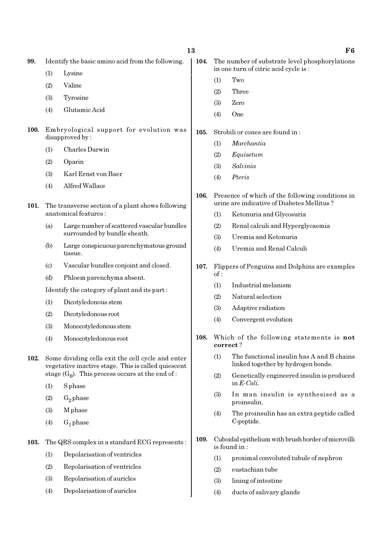99. Identify the basic amino acid from the following.

- (1) Lysine
- (2) Valine
- (3) Tyrosine
- (4) Glutamic Acid
- 100. Embryological support for evolution was disapproved by :
	- (1) Charles Darwin
	- (2) Oparin
	- (3) Karl Ernst von Baer
	- (4) Alfred Wallace
- 101. The transverse section of a plant shows following anatomical features :
	- (a) Large number of scattered vascular bundles surrounded by bundle sheath.
	- (b) Large conspicuous parenchymatous ground tissue.
	- (c) Vascular bundles conjoint and closed.
	- (d) Phloem parenchyma absent.

Identify the category of plant and its part :

- (1) Dicotyledonous stem
- (2) Dicotyledonous root
- (3) Monocotyledonous stem
- (4) Monocotyledonous root
- 102. Some dividing cells exit the cell cycle and enter vegetative inactive stage. This is called quiescent stage  $(G_0)$ . This process occurs at the end of :
	- (1) S phase
	- $(2)$  G<sub>2</sub> phase
	- (3) M phase
	- $(4)$  G<sub>1</sub> phase

103. The QRS complex in a standard ECG represents :

- (1) Depolarisation of ventricles
- (2) Repolarisation of ventricles
- (3) Repolarisation of auricles
- (4) Depolarisation of auricles
- 104. The number of substrate level phosphorylations in one turn of citric acid cycle is :
	- (1) Two
	- (2) Three
	- (3) Zero
	- (4) One
- 105. Strobili or cones are found in :
	- (1) Marchantia
	- (2) Equisetum
	- (3) Salvinia
	- (4) Pteris
- 106. Presence of which of the following conditions in urine are indicative of Diabetes Mellitus ?
	- (1) Ketonuria and Glycosuria
	- (2) Renal calculi and Hyperglycaemia
	- (3) Uremia and Ketonuria
	- (4) Uremia and Renal Calculi
- 107. Flippers of Penguins and Dolphins are examples of :
	- (1) Industrial melanism
	- (2) Natural selection
	- (3) Adaptive radiation
	- (4) Convergent evolution
- 108. Which of the following statements is not correct ?
	- (1) The functional insulin has A and B chains linked together by hydrogen bonds.
	- (2) Genetically engineered insulin is produced in E-Coli.
	- (3) In man insulin is synthesised as a proinsulin.
	- (4) The proinsulin has an extra peptide called C-peptide.
- 109. Cuboidal epithelium with brush border of microvilli is found in :
	- (1) proximal convoluted tubule of nephron
	- (2) eustachian tube
	- (3) lining of intestine
	- (4) ducts of salivary glands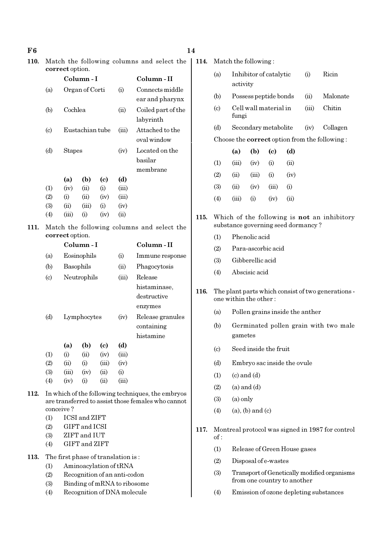| F6   |                                                              |                                                             |                                                              |                                   |                         |                                                                                                         | 14                                                 |                                                                             |                                                                              |                         |                                                  |                              |          |                                             |
|------|--------------------------------------------------------------|-------------------------------------------------------------|--------------------------------------------------------------|-----------------------------------|-------------------------|---------------------------------------------------------------------------------------------------------|----------------------------------------------------|-----------------------------------------------------------------------------|------------------------------------------------------------------------------|-------------------------|--------------------------------------------------|------------------------------|----------|---------------------------------------------|
| 110. | Match the following columns and select the                   |                                                             |                                                              |                                   |                         |                                                                                                         | 114.                                               |                                                                             | Match the following:                                                         |                         |                                                  |                              |          |                                             |
|      |                                                              | correct option.<br>Column-I                                 |                                                              |                                   | Column-II               | (a)                                                                                                     | Inhibitor of catalytic<br>Ricin<br>(i)<br>activity |                                                                             |                                                                              |                         |                                                  |                              |          |                                             |
|      | (a)                                                          |                                                             | Organ of Corti                                               |                                   | (i)                     | Connects middle<br>ear and pharynx                                                                      |                                                    | (b)                                                                         | Possess peptide bonds                                                        |                         |                                                  |                              | (ii)     | Malonate                                    |
|      | (b)                                                          | Cochlea                                                     |                                                              |                                   | (ii)                    | Coiled part of the<br>labyrinth                                                                         |                                                    | (c)                                                                         | Cell wall material in<br>fungi                                               |                         |                                                  | (iii)                        | Chitin   |                                             |
|      | $\left( \mathrm{c}\right)$                                   |                                                             | Eustachian tube                                              |                                   | (iii)                   | Attached to the<br>oval window                                                                          |                                                    | (d)                                                                         | Secondary metabolite<br>Choose the <b>correct</b> option from the following: |                         |                                                  | (iv)                         | Collagen |                                             |
|      | (d)                                                          | <b>Stapes</b>                                               |                                                              |                                   | (iv)                    | Located on the                                                                                          |                                                    |                                                                             | (a)                                                                          | (b)                     | $\left( \mathrm{c}\right)$                       | (d)                          |          |                                             |
|      |                                                              |                                                             |                                                              |                                   |                         | basilar                                                                                                 |                                                    | (1)                                                                         | (iii)                                                                        | (iv)                    | (i)                                              | (ii)                         |          |                                             |
|      |                                                              |                                                             |                                                              |                                   | (d)                     | membrane                                                                                                |                                                    | (2)                                                                         | (ii)                                                                         | (iii)                   | (i)                                              | (iv)                         |          |                                             |
|      | (1)                                                          | (a)<br>(iv)                                                 | (b)<br>(ii)                                                  | $\left( \mathrm{c}\right)$<br>(i) | (iii)                   |                                                                                                         |                                                    | (3)                                                                         | (ii)                                                                         | (iv)                    | (iii)                                            | (i)                          |          |                                             |
|      | (2)<br>(3)                                                   | (i)<br>(ii)                                                 | (ii)<br>(iii)                                                | (iv)<br>(i)                       | (iii)<br>(iv)           |                                                                                                         |                                                    | (4)                                                                         | (iii)                                                                        | (i)                     | (iv)                                             | (ii)                         |          |                                             |
|      | (4)                                                          | (iii)                                                       | (i)                                                          | (iv)                              | (ii)                    |                                                                                                         | 115.                                               |                                                                             |                                                                              |                         |                                                  |                              |          | Which of the following is not an inhibitory |
| 111. |                                                              |                                                             |                                                              |                                   |                         | Match the following columns and select the                                                              |                                                    |                                                                             | substance governing seed dormancy?                                           |                         |                                                  |                              |          |                                             |
|      |                                                              | correct option.                                             |                                                              |                                   |                         |                                                                                                         |                                                    | (1)                                                                         | Phenolic acid                                                                |                         |                                                  |                              |          |                                             |
|      |                                                              |                                                             | Column-I                                                     |                                   |                         | Column-II                                                                                               |                                                    | (2)                                                                         | Para-ascorbic acid                                                           |                         |                                                  |                              |          |                                             |
|      | (a)                                                          |                                                             | Eosinophils                                                  |                                   | (i)                     | Immune response                                                                                         |                                                    | (3)                                                                         |                                                                              | Gibberellic acid        |                                                  |                              |          |                                             |
|      | (b)                                                          | Basophils                                                   |                                                              |                                   | (ii)                    | Phagocytosis                                                                                            |                                                    | (4)                                                                         |                                                                              | Abscisic acid           |                                                  |                              |          |                                             |
|      |                                                              | Neutrophils<br>$\left( \mathrm{c}\right)$<br>(iii)          |                                                              |                                   | Release<br>histaminase, |                                                                                                         |                                                    |                                                                             |                                                                              |                         |                                                  |                              |          |                                             |
|      |                                                              |                                                             |                                                              |                                   |                         | 116.<br>destructive<br>enzymes                                                                          |                                                    | The plant parts which consist of two generations -<br>one within the other: |                                                                              |                         |                                                  |                              |          |                                             |
|      | (d)                                                          |                                                             |                                                              |                                   | (iv)                    | Release granules                                                                                        |                                                    | (a)                                                                         | Pollen grains inside the anther                                              |                         |                                                  |                              |          |                                             |
|      | Lymphocytes                                                  |                                                             |                                                              | containing<br>histamine           |                         | (b)                                                                                                     | Germinated pollen grain with two male<br>gametes   |                                                                             |                                                                              |                         |                                                  |                              |          |                                             |
|      |                                                              | (a)                                                         | (b)                                                          | $\left( \mathbf{c} \right)$       | (d)                     |                                                                                                         |                                                    | (c)                                                                         |                                                                              |                         | Seed inside the fruit                            |                              |          |                                             |
|      | (1)<br>(2)                                                   | (i)<br>(ii)                                                 | (ii)<br>(i)                                                  | (iv)<br>(iii)                     | (iii)<br>(iv)           |                                                                                                         |                                                    | (d)                                                                         |                                                                              |                         |                                                  | Embryo sac inside the ovule  |          |                                             |
|      | (3)                                                          | (iii)                                                       | (iv)                                                         | (ii)                              | (i)                     |                                                                                                         |                                                    | (1)                                                                         | $(c)$ and $(d)$                                                              |                         |                                                  |                              |          |                                             |
|      | (4)                                                          | (iv)                                                        | (i)                                                          | (ii)                              | (iii)                   |                                                                                                         |                                                    | (2)                                                                         |                                                                              | $(a)$ and $(d)$         |                                                  |                              |          |                                             |
| 112. |                                                              |                                                             |                                                              |                                   |                         | In which of the following techniques, the embryos<br>are transferred to assist those females who cannot |                                                    | (3)                                                                         | $(a)$ only                                                                   |                         |                                                  |                              |          |                                             |
|      |                                                              | conceive?                                                   |                                                              |                                   |                         |                                                                                                         |                                                    | (4)                                                                         |                                                                              | $(a)$ , $(b)$ and $(c)$ |                                                  |                              |          |                                             |
|      | (1)                                                          |                                                             | ICSI and ZIFT                                                |                                   |                         |                                                                                                         |                                                    |                                                                             |                                                                              |                         |                                                  |                              |          |                                             |
|      | GIFT and ICSI<br>(2)<br>ZIFT and IUT<br>(3)<br>GIFT and ZIFT |                                                             |                                                              | 117.                              | of:                     |                                                                                                         |                                                    |                                                                             |                                                                              |                         | Montreal protocol was signed in 1987 for control |                              |          |                                             |
|      | (4)                                                          |                                                             |                                                              |                                   |                         |                                                                                                         |                                                    | (1)                                                                         |                                                                              |                         |                                                  | Release of Green House gases |          |                                             |
| 113. | (1)                                                          |                                                             | The first phase of translation is:<br>Aminoacylation of tRNA |                                   |                         |                                                                                                         |                                                    | (2)                                                                         |                                                                              |                         | Disposal of e-wastes                             |                              |          |                                             |
|      | (2)                                                          |                                                             |                                                              |                                   |                         |                                                                                                         |                                                    | (3)                                                                         |                                                                              |                         |                                                  |                              |          | Transport of Genetically modified organisms |
|      | (3)                                                          | Recognition of an anti-codon<br>Binding of mRNA to ribosome |                                                              |                                   |                         |                                                                                                         |                                                    |                                                                             |                                                                              |                         |                                                  | from one country to another  |          |                                             |

 $\overline{\phantom{a}}$ 

(4) Recognition of DNA molecule

(4) Emission of ozone depleting substances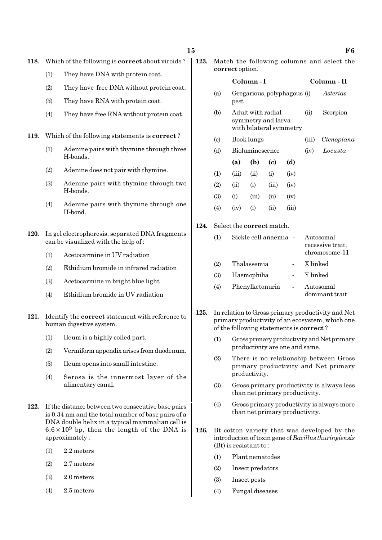- (1) They have DNA with protein coat.
- (2) They have free DNA without protein coat.
- (3) They have RNA with protein coat.
- (4) They have free RNA without protein coat.
- 119. Which of the following statements is correct ?
	- (1) Adenine pairs with thymine through three H-bonds.
	- (2) Adenine does not pair with thymine.
	- (3) Adenine pairs with thymine through two H-bonds.
	- (4) Adenine pairs with thymine through one H-bond.
- 120. In gel electrophoresis, separated DNA fragments can be visualized with the help of :
	- (1) Acetocarmine in UV radiation
	- (2) Ethidium bromide in infrared radiation
	- (3) Acetocarmine in bright blue light
	- (4) Ethidium bromide in UV radiation
- 121. Identify the correct statement with reference to human digestive system.
	- (1) Ileum is a highly coiled part.
	- (2) Vermiform appendix arises from duodenum.
	- (3) Ileum opens into small intestine.
	- (4) Serosa is the innermost layer of the alimentary canal.
- 122. If the distance between two consecutive base pairs is 0.34 nm and the total number of base pairs of a DNA double helix in a typical mammalian cell is  $6.6 \times 10^9$  bp, then the length of the DNA is approximately :
	- (1) 2.2 meters
	- (2) 2.7 meters
	- (3) 2.0 meters
	- (4) 2.5 meters

123. Match the following columns and select the correct option.

# Column - I Column - II (a) Gregarious, polyphagous (i) Asterias pest (b) Adult with radial (ii) Scorpion symmetry and larva with bilateral symmetry (c) Book lungs (iii) Ctenoplana (d) Bioluminescence (iv) Locusta (a) (b) (c) (d)  $(1)$   $(iii)$   $(ii)$   $(i)$   $(iv)$  $(2)$   $(ii)$   $(i)$   $(iii)$   $(iv)$  $(3)$  (i) (iii) (ii) (iv)  $(4)$   $(iv)$   $(i)$   $(ii)$   $(iii)$ 124. Select the correct match. (1) Sickle cell anaemia - Autosomal recessive trait, chromosome-11 (2) Thalassemia - X linked

(3) Haemophilia - Y linked (4) Phenylketonuria - Autosomal

dominant trait

- 125. In relation to Gross primary productivity and Net primary productivity of an ecosystem, which one of the following statements is correct ?
	- (1) Gross primary productivity and Net primary productivity are one and same.
	- (2) There is no relationship between Gross primary productivity and Net primary productivity.
	- (3) Gross primary productivity is always less than net primary productivity.
	- (4) Gross primary productivity is always more than net primary productivity.
- 126. Bt cotton variety that was developed by the introduction of toxin gene of Bacillus thuringiensis (Bt) is resistant to :
	- (1) Plant nematodes
	- (2) Insect predators
	- (3) Insect pests
	- (4) Fungal diseases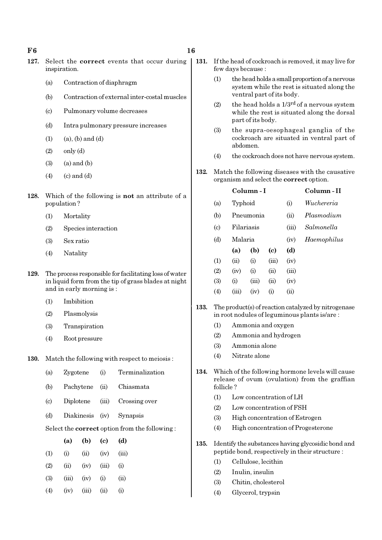#### $F6$  16

- 127. Select the correct events that occur during inspiration.
	- (a) Contraction of diaphragm
	- (b) Contraction of external inter-costal muscles
	- (c) Pulmonary volume decreases
	- (d) Intra pulmonary pressure increases
	- $(1)$   $(a)$ ,  $(b)$  and  $(d)$
	- $(2)$  only  $(d)$
	- $(3)$   $(a)$  and  $(b)$
	- $(4)$   $(c)$  and  $(d)$
- 128. Which of the following is not an attribute of a population ?
	- (1) Mortality
	- (2) Species interaction
	- (3) Sex ratio
	- (4) Natality
- 129. The process responsible for facilitating loss of water in liquid form from the tip of grass blades at night and in early morning is :
	- (1) Imbibition
	- (2) Plasmolysis
	- (3) Transpiration
	- (4) Root pressure
- 130. Match the following with respect to meiosis :
	- (a) Zygotene (i) Terminalization
	- (b) Pachytene (ii) Chiasmata
	- (c) Diplotene (iii) Crossing over
	- (d) Diakinesis (iv) Synapsis

Select the correct option from the following :

|     | (a)   | (b)   | (c)   | (d)      |
|-----|-------|-------|-------|----------|
| (1) | (i)   | (ii)  | (iv)  | (iii)    |
| (2) | (ii)  | (iv)  | (iii) | (i)      |
| (3) | (iii) | (iv)  | (i)   | (ii)     |
| (4) | (iv)  | (iii) | (i)   | $\rm(i)$ |

- 131. If the head of cockroach is removed, it may live for few days because :
	- (1) the head holds a small proportion of a nervous system while the rest is situated along the ventral part of its body.
	- (2) the head holds a  $1/3^{rd}$  of a nervous system while the rest is situated along the dorsal part of its body.
	- (3) the supra-oesophageal ganglia of the cockroach are situated in ventral part of abdomen.
	- (4) the cockroach does not have nervous system.
- 132. Match the following diseases with the causative organism and select the correct option.

|                            |            | Column - I | Column-II |       |             |
|----------------------------|------------|------------|-----------|-------|-------------|
| (a)                        | Typhoid    |            |           | (i)   | Wuchereria  |
| (b)                        |            | Pneumonia  |           | (ii)  | Plasmodium  |
| $\left( \mathrm{c}\right)$ | Filariasis |            |           | (iii) | Salmonella  |
| (d)                        |            | Malaria    |           |       | Haemophilus |
|                            | (a)        | (b)        | (c)       | (d)   |             |
| (1)                        | (ii)       | (i)        | (iii)     | (iv)  |             |
| (2)                        | (iv)       | (i)        | (ii)      | (iii) |             |
| (3)                        | (i)        | (iii)      | (ii)      | (iv)  |             |
| (4)                        | (iii)      | (iv)       | $\rm(i)$  | (ii)  |             |

- 133. The product(s) of reaction catalyzed by nitrogenase in root nodules of leguminous plants is/are :
	- (1) Ammonia and oxygen
	- (2) Ammonia and hydrogen
	- (3) Ammonia alone
	- (4) Nitrate alone
- 134. Which of the following hormone levels will cause release of ovum (ovulation) from the graffian follicle ?
	- (1) Low concentration of LH
	- (2) Low concentration of FSH
	- (3) High concentration of Estrogen
	- (4) High concentration of Progesterone
- 135. Identify the substances having glycosidic bond and peptide bond, respectively in their structure :
	- (1) Cellulose, lecithin
	- (2) Inulin, insulin
	- (3) Chitin, cholesterol
	- (4) Glycerol, trypsin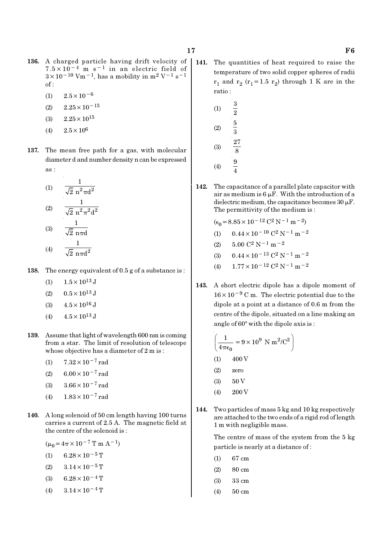- 136. A charged particle having drift velocity of  $7.5 \times 10^{-4}$  m s<sup>-1</sup> in an electric field of  $3 \times 10^{-10}$  Vm<sup>-1</sup>, has a mobility in m<sup>2</sup> V<sup>-1</sup> s<sup>-1</sup>  $of:$ 
	- $(1)$  2.5×10<sup>-6</sup>
	- $(2)$  2.25 × 10<sup>-15</sup>
	- $(3)$  2.25  $\times$  10<sup>15</sup>
	- (4)  $2.5 \times 10^6$
- 137. The mean free path for a gas, with molecular diameter d and number density n can be expressed as :

(1) 
$$
\frac{1}{\sqrt{2} n^2 \pi d^2}
$$
  
\n(2) 
$$
\frac{1}{\sqrt{2} n^2 \pi^2 d^2}
$$
  
\n(3) 
$$
\frac{1}{\sqrt{2} n \pi d}
$$
  
\n(4) 
$$
\frac{1}{\sqrt{2} n \pi d^2}
$$

- 138. The energy equivalent of 0.5 g of a substance is:
	- (1)  $1.5 \times 10^{13}$  J
	- $(2)$  0.5  $\times$  10<sup>13</sup> J
	- (3)  $4.5 \times 10^{16}$  J
	- $(4)$  4.5  $\times$  10<sup>13</sup> J
- 139. Assume that light of wavelength 600 nm is coming from a star. The limit of resolution of telescope whose objective has a diameter of 2 m is :
	- (1)  $7.32 \times 10^{-7}$  rad
	- (2)  $6.00 \times 10^{-7}$  rad
	- (3)  $3.66 \times 10^{-7}$  rad
	- (4)  $1.83 \times 10^{-7}$  rad
- 140. A long solenoid of 50 cm length having 100 turns carries a current of 2.5 A. The magnetic field at the centre of the solenoid is :
	- $(\mu_0 = 4\pi \times 10^{-7} \text{ T m A}^{-1})$
	- (1) 6.28 $\times$ 10<sup>-5</sup> T
	- (2)  $3.14 \times 10^{-5}$  T
	- (3) 6.28 $\times$ 10<sup>-4</sup> T
	- (4)  $3.14 \times 10^{-4}$  T
- 141. The quantities of heat required to raise the temperature of two solid copper spheres of radii  $r_1$  and  $r_2$  ( $r_1$ =1.5  $r_2$ ) through 1 K are in the ratio :
	- (1) 3  $\overline{2}$ (2) 5 3 (3) 27 8  $(4)$ 4
- 142. The capacitance of a parallel plate capacitor with air as medium is  $6 \mu$ F. With the introduction of a dielectric medium, the capacitance becomes  $30 \mu$ F. The permittivity of the medium is :

$$
(\epsilon_0 = 8.85 \times 10^{-12} \, \text{C}^2 \, \text{N}^{-1} \, \text{m}^{-2})
$$

- (1)  $0.44 \times 10^{-10}$  C<sup>2</sup> N<sup>-1</sup> m<sup>-2</sup>
- (2)  $5.00 \text{ C}^2 \text{ N}^{-1} \text{ m}^{-2}$
- (3)  $0.44 \times 10^{-13}$  C<sup>2</sup> N<sup>-1</sup> m<sup>-2</sup>
- (4)  $1.77 \times 10^{-12}$  C<sup>2</sup> N<sup>-1</sup> m<sup>-2</sup>
- 143. A short electric dipole has a dipole moment of  $16 \times 10^{-9}$  C m. The electric potential due to the dipole at a point at a distance of 0.6 m from the centre of the dipole, situated on a line making an angle of  $60^\circ$  with the dipole axis is :

$$
\left(\frac{1}{4\pi\epsilon_0} = 9 \times 10^9 \text{ N m}^2/\text{C}^2\right)
$$
  
(1) 400 V

- (2) zero
- $(3)$  50 V
- $(4)$  200 V
- 144. Two particles of mass 5 kg and 10 kg respectively are attached to the two ends of a rigid rod of length 1 m with negligible mass.

The centre of mass of the system from the 5 kg particle is nearly at a distance of :

- (1) 67 cm
- (2) 80 cm
- (3) 33 cm
- (4) 50 cm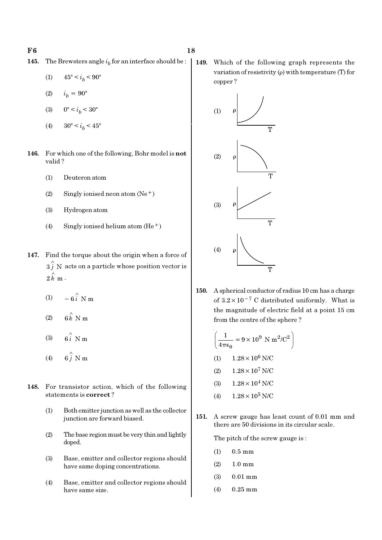- **145.** The Brewsters angle  $i<sub>b</sub>$  for an interface should be :
	- (1)  $45^{\circ} < i_b < 90^{\circ}$
	- (2)  $i_h = 90^\circ$
	- (3)  $0^{\circ} < i_b < 30^{\circ}$
	- (4)  $30^{\circ} < i_b < 45^{\circ}$
- 146. For which one of the following, Bohr model is not valid ?
	- (1) Deuteron atom
	- (2) Singly ionised neon atom  $(Ne^+)$
	- (3) Hydrogen atom
	- (4) Singly ionised helium atom  $(He<sup>+</sup>)$
- 147. Find the torque about the origin when a force of  $\overset{\wedge}{3}$  N acts on a particle whose position vector is  $2 \hat{k}$  m  $\cdot$ 
	- (1)  $-6\hat{i}$  N m
	- (2)  $6 \stackrel{\wedge}{k}$  N m
	- (3)  $6i \text{ N m}$
	- (4)  $6\hat{j}$  N m
- 148. For transistor action, which of the following statements is correct ?
	- (1) Both emitter junction as well as the collector junction are forward biased.
	- (2) The base region must be very thin and lightly doped.
	- (3) Base, emitter and collector regions should have same doping concentrations.
	- (4) Base, emitter and collector regions should have same size.

149. Which of the following graph represents the variation of resistivity  $(\rho)$  with temperature (T) for copper ?



150. A spherical conductor of radius 10 cm has a charge of  $3.2 \times 10^{-7}$  C distributed uniformly. What is the magnitude of electric field at a point 15 cm from the centre of the sphere ?

$$
\left(\frac{1}{4\pi\epsilon_0} = 9 \times 10^9 \text{ N m}^2/\text{C}^2\right)
$$
  
(1) 1.28 × 10<sup>6</sup> N/C

- (2)  $1.28 \times 10^7$  N/C
- (3)  $1.28 \times 10^4$  N/C
- (4)  $1.28 \times 10^5$  N/C
- 151. A screw gauge has least count of 0.01 mm and there are 50 divisions in its circular scale.

The pitch of the screw gauge is :

- (1) 0.5 mm
- (2) 1.0 mm
- (3) 0.01 mm
- (4) 0.25 mm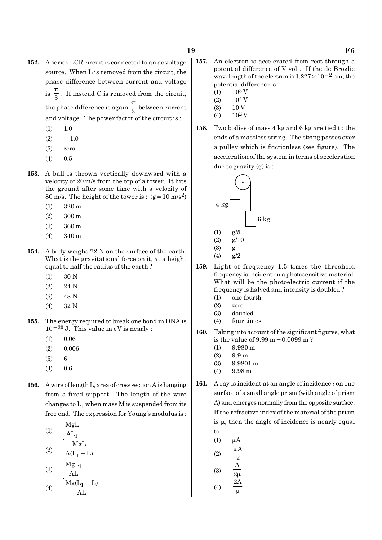- 152. A series LCR circuit is connected to an ac voltage source. When L is removed from the circuit, the phase difference between current and voltage  $is \frac{1}{3}$ π . If instead C is removed from the circuit, the phase difference is again  $\frac{1}{3}$ π between current and voltage. The power factor of the circuit is :
	- $(1)$  1.0
	- $(2) \quad -1.0$
	- (3) zero
	- $(4)$  0.5
- 153. A ball is thrown vertically downward with a velocity of 20 m/s from the top of a tower. It hits the ground after some time with a velocity of 80 m/s. The height of the tower is :  $(g=10 \text{ m/s}^2)$ 
	- (1) 320 m
	- (2) 300 m
	- (3) 360 m
	- (4) 340 m
- 154. A body weighs 72 N on the surface of the earth. What is the gravitational force on it, at a height equal to half the radius of the earth ?
	- (1) 30 N
	- (2) 24 N
	- (3) 48 N
	- (4) 32 N
- 155. The energy required to break one bond in DNA is  $10^{-20}$  J. This value in eV is nearly :
	- (1) 0.06
	- (2) 0.006
	- (3) 6
	- (4) 0.6
- 156. A wire of length L, area of cross section A is hanging from a fixed support. The length of the wire changes to  $\mathrm{L}_1$  when mass M is suspended from its free end. The expression for Young's modulus is :
	- (1)  $\mathrm{\mathrm{AL}}_{1}$ MgL MgL
	- (2) 1  $A(L_1 - L)$  $M_{\odot}$

$$
(3) \quad \frac{\text{MgL}_1}{\text{AL}} \quad (3)
$$

$$
(4) \qquad \frac{\text{Mg}(L_1 - L)}{\text{AL}}
$$

- 157. An electron is accelerated from rest through a potential difference of V volt. If the de Broglie wavelength of the electron is  $1.227 \times 10^{-2}$  nm, the potential difference is :
	- $(1)$  10<sup>3</sup> V
	- $(2)$  10<sup>4</sup> V
	- (3) 10 V
	- (4)  $10^2$  V
- 158. Two bodies of mass 4 kg and 6 kg are tied to the ends of a massless string. The string passes over a pulley which is frictionless (see figure). The acceleration of the system in terms of acceleration due to gravity (g) is :



- 159. Light of frequency 1.5 times the threshold frequency is incident on a photosensitive material. What will be the photoelectric current if the frequency is halved and intensity is doubled ?
	- (1) one-fourth
	- (2) zero
	- (3) doubled
	- (4) four times
- 160. Taking into account of the significant figures, what is the value of 9.99 m−0.0099 m ?
	- $(1)$  9.980 m
	- $(2)$  9.9 m
	- (3) 9.9801 m
	- $(4)$  9.98 m
- 161. A ray is incident at an angle of incidence  $i$  on one surface of a small angle prism (with angle of prism A) and emerges normally from the opposite surface. If the refractive index of the material of the prism is  $\mu$ , then the angle of incidence is nearly equal to :
	- $(1)$   $\mu$ A

$$
\begin{array}{cc}\n\text{(2)} & \frac{\mu \mathbf{A}}{2} \\
\text{(3)} & \frac{\mathbf{A}}{2\mu} \\
\text{(4)} & \frac{\mu \mathbf{A}}{2\mathbf{A}}\n\end{array}
$$

$$
(4) \quad \frac{2\pi}{\mu}
$$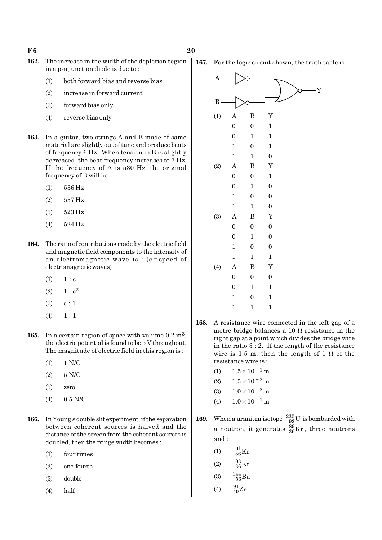- 162. The increase in the width of the depletion region in a p-n junction diode is due to :
	- (1) both forward bias and reverse bias
	- (2) increase in forward current
	- (3) forward bias only
	- (4) reverse bias only
- 163. In a guitar, two strings A and B made of same material are slightly out of tune and produce beats of frequency 6 Hz. When tension in B is slightly decreased, the beat frequency increases to 7 Hz. If the frequency of A is 530 Hz, the original frequency of B will be :
	- (1) 536 Hz
	- (2) 537 Hz
	- (3) 523 Hz
	- (4) 524 Hz
- 164. The ratio of contributions made by the electric field and magnetic field components to the intensity of an electromagnetic wave is : (c=speed of electromagnetic waves)
	- $(1) 1 : c$
	- (2)  $1 : c^2$
	- $(3)$  c : 1
	- $(4) \quad 1 : 1$
- 165. In a certain region of space with volume  $0.2 \text{ m}^3$ , the electric potential is found to be 5 V throughout. The magnitude of electric field in this region is :
	- $(1)$  1 N/C
	- (2) 5 N/C
	- (3) zero
	- (4) 0.5 N/C
- 166. In Young's double slit experiment, if the separation between coherent sources is halved and the distance of the screen from the coherent sources is doubled, then the fringe width becomes :
	- (1) four times
	- (2) one-fourth
	- (3) double
	- (4) half

167. For the logic circuit shown, the truth table is :



- 168. A resistance wire connected in the left gap of a metre bridge balances a 10  $\Omega$  resistance in the right gap at a point which divides the bridge wire in the ratio 3 : 2. If the length of the resistance wire is 1.5 m, then the length of 1  $\Omega$  of the resistance wire is :
	- (1)  $1.5 \times 10^{-1}$  m
	- (2)  $1.5 \times 10^{-2}$  m
	- (3)  $1.0 \times 10^{-2}$  m
	- (4)  $1.0 \times 10^{-1}$  m
- **169.** When a uranium isotope  $^{235}_{92}$ U is bombarded with a neutron, it generates  $^{89}_{36}\text{Kr}$  , three neutrons and :
	- (1)  $\frac{101}{36}$ Kr
	- (2)  $\frac{103}{36} \text{Kr}$
	- (3)  $\frac{144}{56}Ba$
	- (4)  $\frac{91}{40}Zr$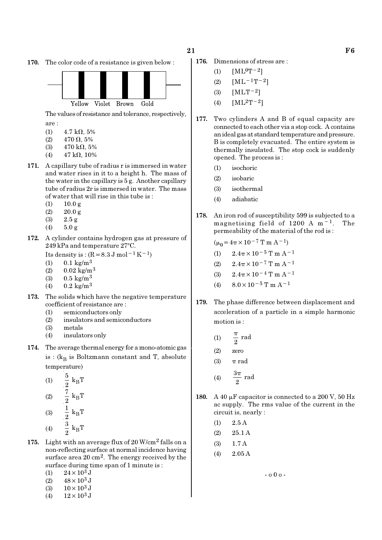170. The color code of a resistance is given below :



The values of resistance and tolerance, respectively, are :

- 
- (1)  $4.7 \text{ k}\Omega, 5\%$ (2)  $470 \Omega, 5\%$
- (3)  $470 \text{ k}\Omega, 5\%$
- (4)  $47 \text{ k}\Omega$ , 10%
- 171. A capillary tube of radius r is immersed in water
- and water rises in it to a height h. The mass of the water in the capillary is 5 g. Another capillary tube of radius 2r is immersed in water. The mass of water that will rise in this tube is :
	- $(1)$  10.0 g
	- $(2)$  20.0 g
	- (3) 2.5 g
	- (4) 5.0 g
- 172. A cylinder contains hydrogen gas at pressure of 249 kPa and temperature 27°C.
	- Its density is :  $(R=8.3 \text{ J mol}^{-1}\text{ K}^{-1})$
	- (1)  $0.1 \text{ kg/m}^3$
	- (2)  $0.02 \text{ kg/m}^3$
	- (3)  $0.5 \text{ kg/m}^3$
	- (4)  $0.2 \text{ kg/m}^3$
- 173. The solids which have the negative temperature coefficient of resistance are :
	- (1) semiconductors only
	- (2) insulators and semiconductors
	- (3) metals
	- (4) insulators only
- 174. The average thermal energy for a mono-atomic gas is : ( $\rm{k_{B}}$  is Boltzmann constant and T, absolute temperature)
	- (1)  $\frac{3}{8}$  k<sub>B</sub>  $\frac{5}{2}$  k<sub>B</sub>T  $(2)$   $\frac{1}{2}$  k<sub>B</sub>  $rac{7}{2}$  k<sub>B</sub>T (3)  $\frac{1}{2}$  k<sub>B</sub>  $\frac{1}{2} k_B T$ (4)  $\frac{3}{8}$  k<sub>B</sub>  $\frac{3}{2}$  k<sub>B</sub>T
- 175. Light with an average flux of  $20$  W/cm<sup>2</sup> falls on a non-reflecting surface at normal incidence having surface area 20 cm<sup>2</sup>. The energy received by the surface during time span of 1 minute is :
	- (1)  $24 \times 10^3$  J
	- (2)  $48 \times 10^3$  J
	- (3)  $10 \times 10^3$  J
	- (4)  $12 \times 10^3$  J
- 176. Dimensions of stress are :
	- (1)  $[ML^0T^{-2}]$
	- (2)  $[ML^{-1}T^{-2}]$
	- (3)  $[MLT^{-2}]$
	- (4)  $[ML^2T^{-2}]$
- 177. Two cylinders A and B of equal capacity are connected to each other via a stop cock. A contains an ideal gas at standard temperature and pressure. B is completely evacuated. The entire system is thermally insulated. The stop cock is suddenly opened. The process is :
	- (1) isochoric
	- (2) isobaric
	- (3) isothermal
	- (4) adiabatic
- 178. An iron rod of susceptibility 599 is subjected to a magnetising field of 1200 A m−1. The permeability of the material of the rod is :
	- $(\mu_0 = 4\pi \times 10^{-7} \text{ T m A}^{-1})$
	- (1)  $2.4\pi \times 10^{-5}$  T m A<sup>-1</sup>
	- (2)  $2.4\pi \times 10^{-7}$  T m A<sup>-1</sup>
	- (3)  $2.4\pi \times 10^{-4}$  T m A<sup>-1</sup>
	- (4)  $8.0 \times 10^{-5}$  T m A<sup>-1</sup>
- 179. The phase difference between displacement and acceleration of a particle in a simple harmonic motion is :
	- (1)  $\frac{\pi}{2}$  rad π
	- (2) zero
	- (3)  $\pi$  rad
	- (4)  $\frac{3\pi}{2}$  rad π
- 180. A 40  $\mu$ F capacitor is connected to a 200 V, 50 Hz ac supply. The rms value of the current in the circuit is, nearly :
	- $(1)$  2.5 A
	- (2) 25.1 A
	- (3) 1.7 A
	- $(4)$  2.05 A

- o 0 o -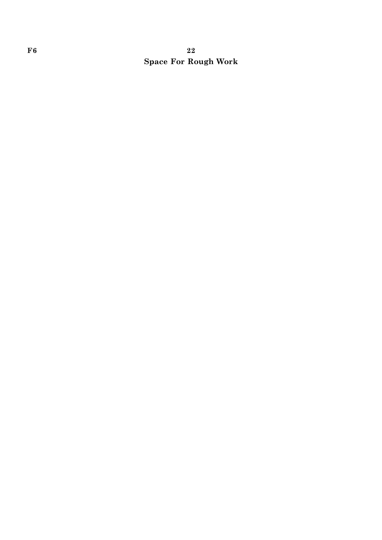# $F6$  and  $22$ Space For Rough Work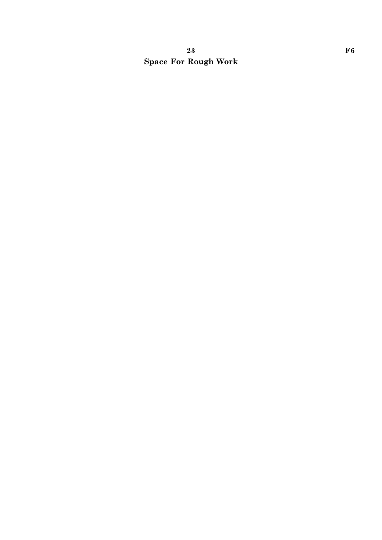# 23 F6 Space For Rough Work